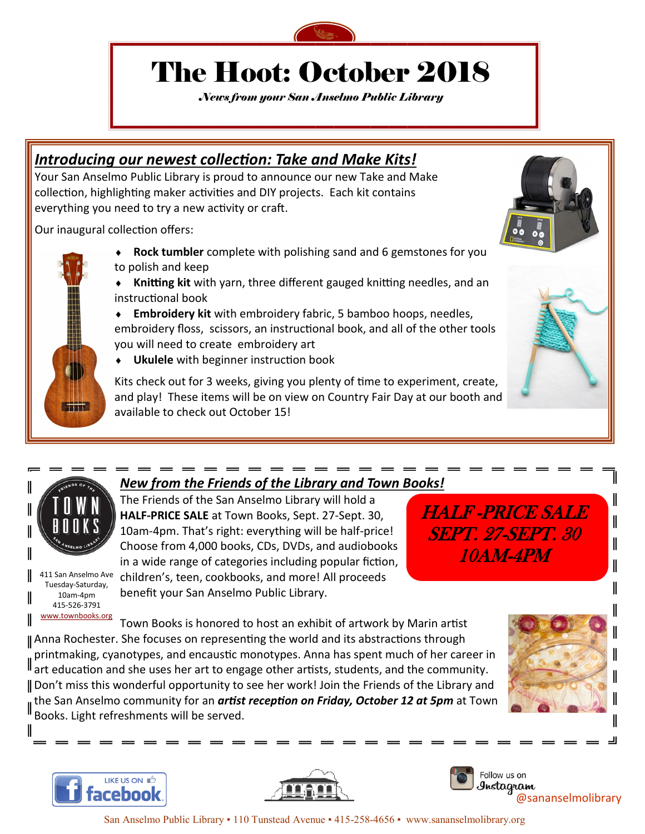

# The Hoot: October 2018

*News from your San Anselmo Public Library*

## *Introducing our newest collection: Take and Make Kits!*

Your San Anselmo Public Library is proud to announce our new Take and Make collection, highlighting maker activities and DIY projects. Each kit contains everything you need to try a new activity or craft.

Our inaugural collection offers:

- **Rock tumbler** complete with polishing sand and 6 gemstones for you to polish and keep
- **Knitting kit** with yarn, three different gauged knitting needles, and an instructional book
- **Embroidery kit** with embroidery fabric, 5 bamboo hoops, needles, embroidery floss, scissors, an instructional book, and all of the other tools you will need to create embroidery art
- **Ukulele** with beginner instruction book

Kits check out for 3 weeks, giving you plenty of time to experiment, create, and play! These items will be on view on Country Fair Day at our booth and available to check out October 15!



TITT.

*New from the Friends of the Library and Town Books!*

The Friends of the San Anselmo Library will hold a **HALF-PRICE SALE** at Town Books, Sept. 27-Sept. 30, 10am-4pm. That's right: everything will be half-price! Choose from 4,000 books, CDs, DVDs, and audiobooks in a wide range of categories including popular fiction, children's, teen, cookbooks, and more! All proceeds benefit your San Anselmo Public Library.

HALF -PRICE SALE SEPT. 27-SEPT. 30 10AM-4PM

411 San Anselmo Ave Tuesday-Saturday, 10am-4pm 415-526-3791 www<u>.townbooks.org</u>

Town Books is honored to host an exhibit of artwork by Marin artist Anna Rochester. She focuses on representing the world and its abstractions through printmaking, cyanotypes, and encaustic monotypes. Anna has spent much of her career in  $\parallel$  art education and she uses her art to engage other artists, students, and the community. Don't miss this wonderful opportunity to see her work! Join the Friends of the Library and the San Anselmo community for an *artist reception on Friday, October 12 at 5pm* at Town Books. Light refreshments will be served.



I

I

 $\parallel$ 

II





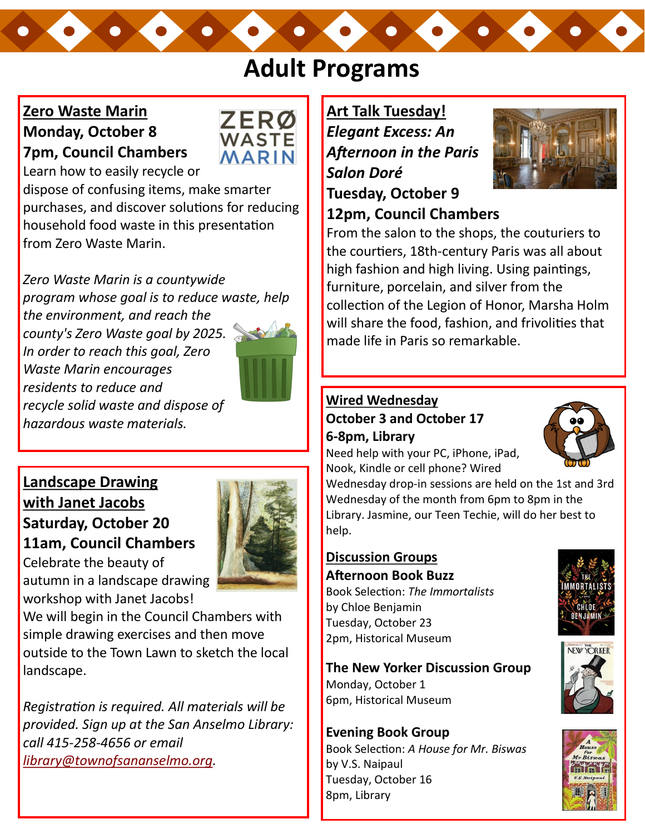# **Adult Programs**

## **Zero Waste Marin Monday, October 8 7pm, Council Chambers**



Learn how to easily recycle or

dispose of confusing items, make smarter purchases, and discover solutions for reducing household food waste in this presentation from Zero Waste Marin.

*Zero Waste Marin is a countywide program whose goal is to reduce waste, help the environment, and reach the county's Zero Waste goal by 2025. In order to reach this goal, Zero Waste Marin encourages residents to reduce and recycle solid waste and dispose of hazardous waste materials.*



**Landscape Drawing with Janet Jacobs Saturday, October 20 11am, Council Chambers**

Celebrate the beauty of



workshop with Janet Jacobs! We will begin in the Council Chambers with simple drawing exercises and then move outside to the Town Lawn to sketch the local landscape.

*Registration is required. All materials will be provided. Sign up at the San Anselmo Library: call 415-258-4656 or email [library@townofsananselmo.org.](mailto:library@townofsananselmo.org)* 

**Art Talk Tuesday!** *Elegant Excess: An Afternoon in the Paris Salon Doré* **Tuesday, October 9**



# **12pm, Council Chambers**

From the salon to the shops, the couturiers to the courtiers, 18th-century Paris was all about high fashion and high living. Using paintings, furniture, porcelain, and silver from the collection of the Legion of Honor, Marsha Holm will share the food, fashion, and frivolities that made life in Paris so remarkable.

## **Wired Wednesday October 3 and October 17 6-8pm, Library**

Need help with your PC, iPhone, iPad, Nook, Kindle or cell phone? Wired

Wednesday drop-in sessions are held on the 1st and 3rd Wednesday of the month from 6pm to 8pm in the Library. Jasmine, our Teen Techie, will do her best to help.

## **Discussion Groups Afternoon Book Buzz**

Book Selection: *The Immortalists*  by Chloe Benjamin Tuesday, October 23 2pm, Historical Museum

**The New Yorker Discussion Group**

Monday, October 1 6pm, Historical Museum

**Evening Book Group** Book Selection: *A House for Mr. Biswas*  by V.S. Naipaul Tuesday, October 16 8pm, Library